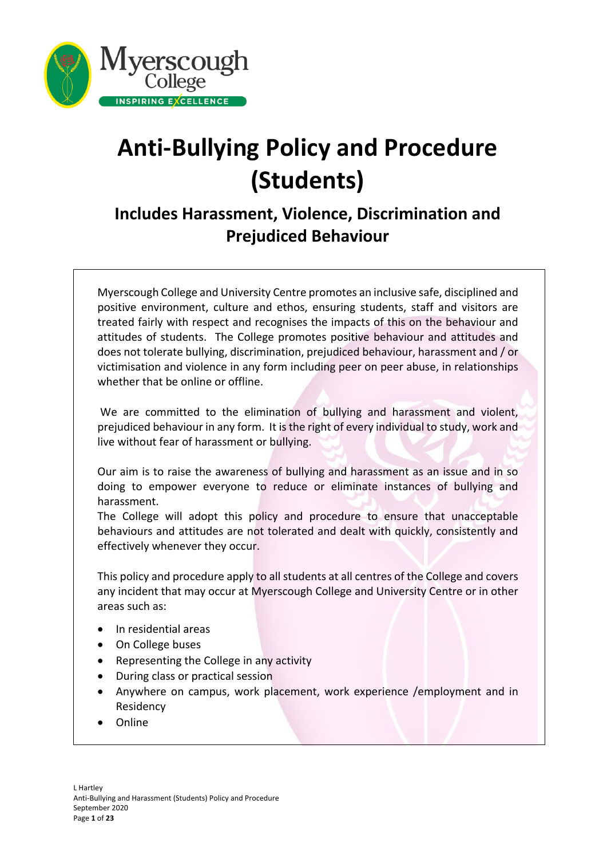

# **Anti-Bullying Policy and Procedure (Students)**

# **Includes Harassment, Violence, Discrimination and Prejudiced Behaviour**

Myerscough College and University Centre promotes an inclusive safe, disciplined and positive environment, culture and ethos, ensuring students, staff and visitors are treated fairly with respect and recognises the impacts of this on the behaviour and attitudes of students. The College promotes positive behaviour and attitudes and does not tolerate bullying, discrimination, prejudiced behaviour, harassment and / or victimisation and violence in any form including peer on peer abuse, in relationships whether that be online or offline.

We are committed to the elimination of bullying and harassment and violent, prejudiced behaviour in any form. It is the right of every individual to study, work and live without fear of harassment or bullying.

Our aim is to raise the awareness of bullying and harassment as an issue and in so doing to empower everyone to reduce or eliminate instances of bullying and harassment.

The College will adopt this policy and procedure to ensure that unacceptable behaviours and attitudes are not tolerated and dealt with quickly, consistently and effectively whenever they occur.

This policy and procedure apply to all students at all centres of the College and covers any incident that may occur at Myerscough College and University Centre or in other areas such as:

- In residential areas
- On College buses
- Representing the College in any activity
- During class or practical session
- Anywhere on campus, work placement, work experience /employment and in Residency
- Online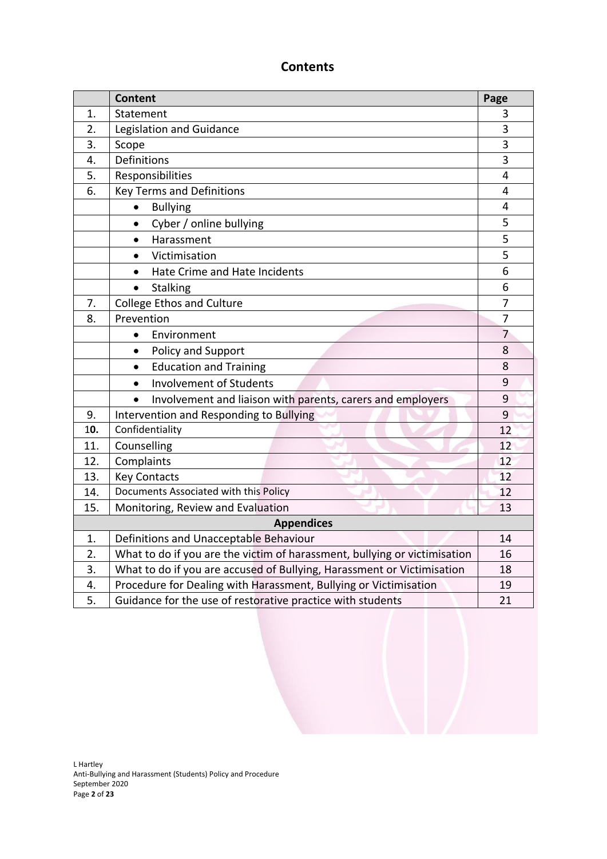# **Contents**

|                   | <b>Content</b>                                                            | Page           |  |  |  |
|-------------------|---------------------------------------------------------------------------|----------------|--|--|--|
| 1.                | Statement                                                                 |                |  |  |  |
| 2.                | Legislation and Guidance                                                  |                |  |  |  |
| 3.                | Scope                                                                     |                |  |  |  |
| 4.                | Definitions                                                               |                |  |  |  |
| 5.                | Responsibilities                                                          |                |  |  |  |
| 6.                | <b>Key Terms and Definitions</b>                                          |                |  |  |  |
|                   | <b>Bullying</b>                                                           | 4              |  |  |  |
|                   | Cyber / online bullying<br>$\bullet$                                      | 5              |  |  |  |
|                   | Harassment<br>$\bullet$                                                   | 5              |  |  |  |
|                   | Victimisation                                                             | 5              |  |  |  |
|                   | Hate Crime and Hate Incidents<br>$\bullet$                                | 6              |  |  |  |
|                   | <b>Stalking</b><br>$\bullet$                                              | 6              |  |  |  |
| 7.                | <b>College Ethos and Culture</b>                                          | 7              |  |  |  |
| 8.                | Prevention                                                                | 7              |  |  |  |
|                   | Environment<br>$\bullet$                                                  | $\overline{7}$ |  |  |  |
|                   | Policy and Support<br>$\bullet$                                           | 8              |  |  |  |
|                   | <b>Education and Training</b><br>$\bullet$                                | 8              |  |  |  |
|                   | <b>Involvement of Students</b><br>$\bullet$                               | 9              |  |  |  |
|                   | Involvement and liaison with parents, carers and employers<br>$\bullet$   | 9              |  |  |  |
| 9.                | Intervention and Responding to Bullying                                   | 9              |  |  |  |
| 10.               | Confidentiality                                                           |                |  |  |  |
| 11.               | Counselling                                                               |                |  |  |  |
| 12.               | Complaints                                                                | 12             |  |  |  |
| 13.               | <b>Key Contacts</b>                                                       | 12             |  |  |  |
| 14.               | Documents Associated with this Policy                                     |                |  |  |  |
| 15.               | Monitoring, Review and Evaluation                                         | 13             |  |  |  |
| <b>Appendices</b> |                                                                           |                |  |  |  |
| 1.                | Definitions and Unacceptable Behaviour                                    | 14             |  |  |  |
| 2.                | What to do if you are the victim of harassment, bullying or victimisation |                |  |  |  |
| 3.                | What to do if you are accused of Bullying, Harassment or Victimisation    |                |  |  |  |
| 4.                | Procedure for Dealing with Harassment, Bullying or Victimisation          |                |  |  |  |
| 5.                | Guidance for the use of restorative practice with students                |                |  |  |  |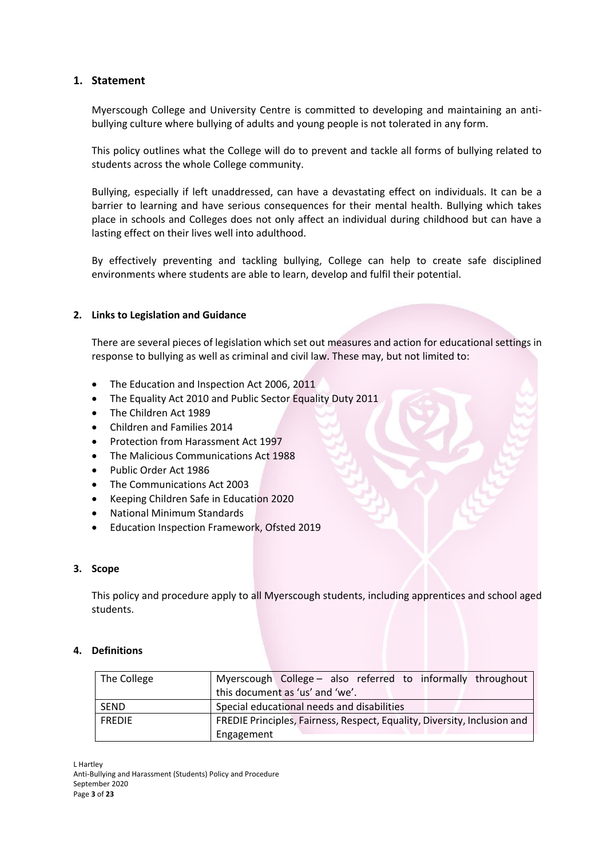#### **1. Statement**

Myerscough College and University Centre is committed to developing and maintaining an antibullying culture where bullying of adults and young people is not tolerated in any form.

This policy outlines what the College will do to prevent and tackle all forms of bullying related to students across the whole College community.

Bullying, especially if left unaddressed, can have a devastating effect on individuals. It can be a barrier to learning and have serious consequences for their mental health. Bullying which takes place in schools and Colleges does not only affect an individual during childhood but can have a lasting effect on their lives well into adulthood.

By effectively preventing and tackling bullying, College can help to create safe disciplined environments where students are able to learn, develop and fulfil their potential.

#### **2. Links to Legislation and Guidance**

There are several pieces of legislation which set out measures and action for educational settings in response to bullying as well as criminal and civil law. These may, but not limited to:

- The Education and Inspection Act 2006, 2011
- The Equality Act 2010 and Public Sector Equality Duty 2011
- The Children Act 1989
- Children and Families 2014
- Protection from Harassment Act 1997
- The Malicious Communications Act 1988
- Public Order Act 1986
- The Communications Act 2003
- Keeping Children Safe in Education 2020
- National Minimum Standards
- Education Inspection Framework, Ofsted 2019

#### **3. Scope**

This policy and procedure apply to all Myerscough students, including apprentices and school aged students.

#### **4. Definitions**

| The College   | Myerscough College - also referred to informally throughout              |  |  |  |  |
|---------------|--------------------------------------------------------------------------|--|--|--|--|
|               | this document as 'us' and 'we'.                                          |  |  |  |  |
| l SEND        | Special educational needs and disabilities                               |  |  |  |  |
| <b>FREDIE</b> | FREDIE Principles, Fairness, Respect, Equality, Diversity, Inclusion and |  |  |  |  |
|               | Engagement                                                               |  |  |  |  |

L Hartley Anti-Bullying and Harassment (Students) Policy and Procedure September 2020 Page **3** of **23**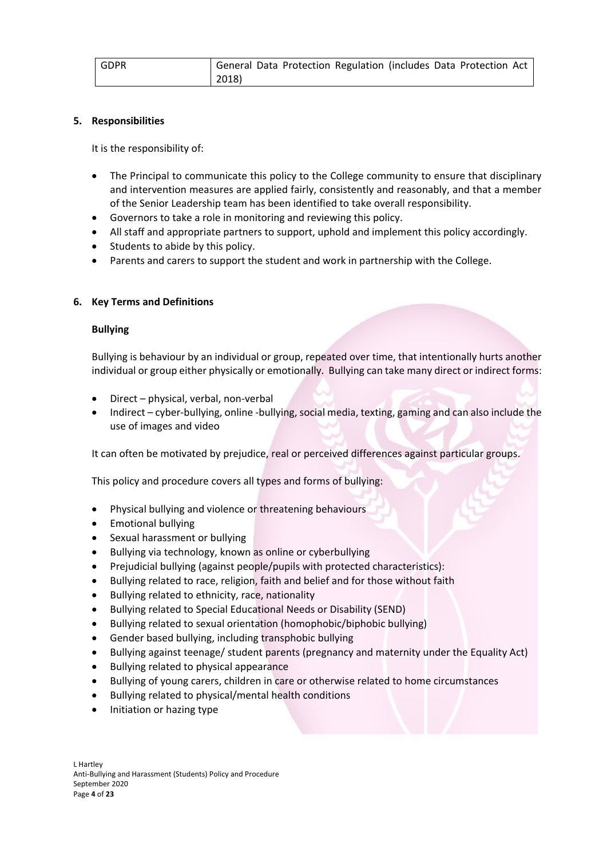#### **5. Responsibilities**

It is the responsibility of:

- The Principal to communicate this policy to the College community to ensure that disciplinary and intervention measures are applied fairly, consistently and reasonably, and that a member of the Senior Leadership team has been identified to take overall responsibility.
- Governors to take a role in monitoring and reviewing this policy.
- All staff and appropriate partners to support, uphold and implement this policy accordingly.
- Students to abide by this policy.
- Parents and carers to support the student and work in partnership with the College.

#### **6. Key Terms and Definitions**

#### **Bullying**

Bullying is behaviour by an individual or group, repeated over time, that intentionally hurts another individual or group either physically or emotionally. Bullying can take many direct or indirect forms:

- Direct physical, verbal, non-verbal
- Indirect cyber-bullying, online -bullying, social media, texting, gaming and can also include the use of images and video

It can often be motivated by prejudice, real or perceived differences against particular groups.

This policy and procedure covers all types and forms of bullying:

- Physical bullying and violence or threatening behaviours
- Emotional bullying
- Sexual harassment or bullying
- Bullying via technology, known as online or cyberbullying
- Prejudicial bullying (against people/pupils with protected characteristics):
- Bullying related to race, religion, faith and belief and for those without faith
- Bullying related to ethnicity, race, nationality
- Bullying related to Special Educational Needs or Disability (SEND)
- Bullying related to sexual orientation (homophobic/biphobic bullying)
- Gender based bullying, including transphobic bullying
- Bullying against teenage/ student parents (pregnancy and maternity under the Equality Act)
- Bullying related to physical appearance
- Bullying of young carers, children in care or otherwise related to home circumstances
- Bullying related to physical/mental health conditions
- Initiation or hazing type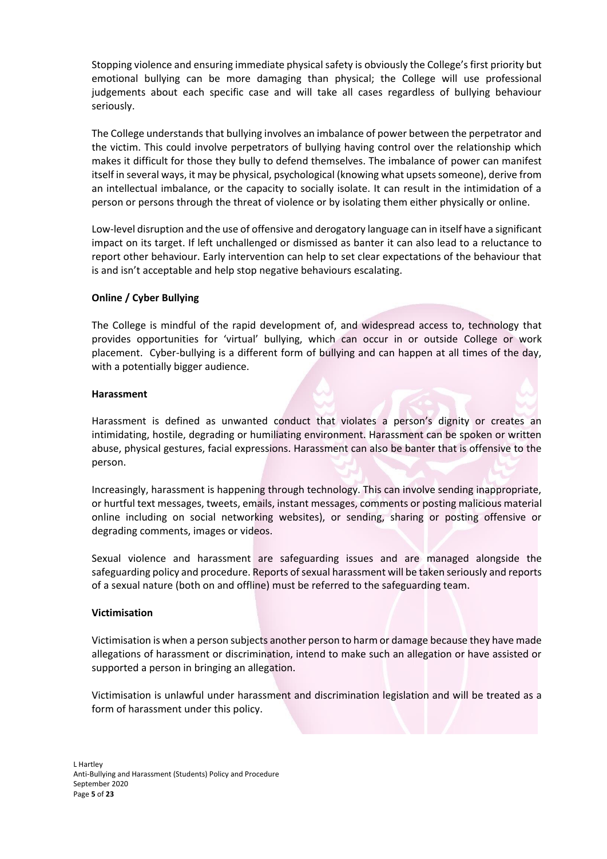Stopping violence and ensuring immediate physical safety is obviously the College's first priority but emotional bullying can be more damaging than physical; the College will use professional judgements about each specific case and will take all cases regardless of bullying behaviour seriously.

The College understands that bullying involves an imbalance of power between the perpetrator and the victim. This could involve perpetrators of bullying having control over the relationship which makes it difficult for those they bully to defend themselves. The imbalance of power can manifest itself in several ways, it may be physical, psychological (knowing what upsets someone), derive from an intellectual imbalance, or the capacity to socially isolate. It can result in the intimidation of a person or persons through the threat of violence or by isolating them either physically or online.

Low-level disruption and the use of offensive and derogatory language can in itself have a significant impact on its target. If left unchallenged or dismissed as banter it can also lead to a reluctance to report other behaviour. Early intervention can help to set clear expectations of the behaviour that is and isn't acceptable and help stop negative behaviours escalating.

#### **Online / Cyber Bullying**

The College is mindful of the rapid development of, and widespread access to, technology that provides opportunities for 'virtual' bullying, which can occur in or outside College or work placement. Cyber-bullying is a different form of bullying and can happen at all times of the day, with a potentially bigger audience.

#### **Harassment**

Harassment is defined as unwanted conduct that violates a person's dignity or creates an intimidating, hostile, degrading or humiliating environment. Harassment can be spoken or written abuse, physical gestures, facial expressions. Harassment can also be banter that is offensive to the person.

Increasingly, harassment is happening through technology. This can involve sending inappropriate, or hurtful text messages, tweets, emails, instant messages, comments or posting malicious material online including on social networking websites), or sending, sharing or posting offensive or degrading comments, images or videos.

Sexual violence and harassment are safeguarding issues and are managed alongside the safeguarding policy and procedure. Reports of sexual harassment will be taken seriously and reports of a sexual nature (both on and offline) must be referred to the safeguarding team.

#### **Victimisation**

Victimisation is when a person subjects another person to harm or damage because they have made allegations of harassment or discrimination, intend to make such an allegation or have assisted or supported a person in bringing an allegation.

Victimisation is unlawful under harassment and discrimination legislation and will be treated as a form of harassment under this policy.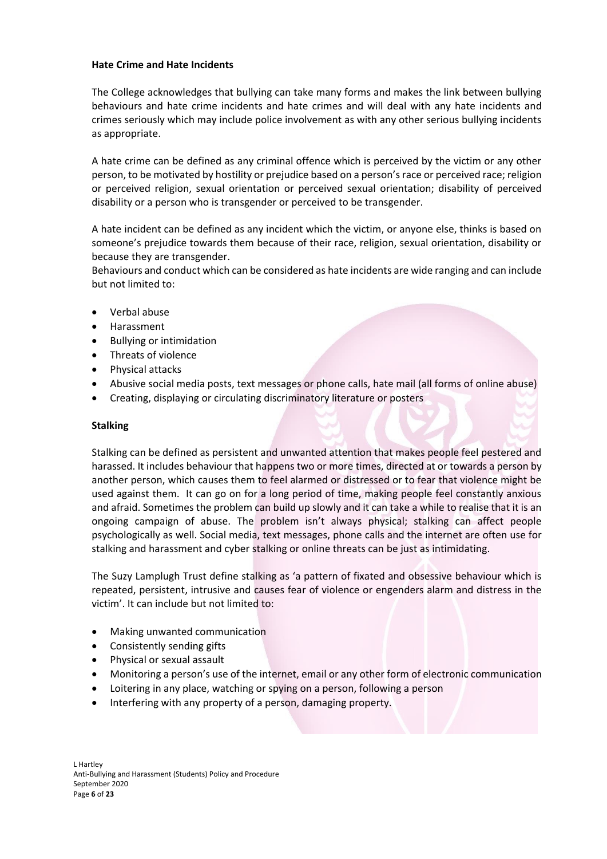#### **Hate Crime and Hate Incidents**

The College acknowledges that bullying can take many forms and makes the link between bullying behaviours and hate crime incidents and hate crimes and will deal with any hate incidents and crimes seriously which may include police involvement as with any other serious bullying incidents as appropriate.

A hate crime can be defined as any criminal offence which is perceived by the victim or any other person, to be motivated by hostility or prejudice based on a person's race or perceived race; religion or perceived religion, sexual orientation or perceived sexual orientation; disability of perceived disability or a person who is transgender or perceived to be transgender.

A hate incident can be defined as any incident which the victim, or anyone else, thinks is based on someone's prejudice towards them because of their race, religion, sexual orientation, disability or because they are transgender.

Behaviours and conduct which can be considered as hate incidents are wide ranging and can include but not limited to:

- Verbal abuse
- Harassment
- Bullying or intimidation
- Threats of violence
- Physical attacks
- Abusive social media posts, text messages or phone calls, hate mail (all forms of online abuse)
- Creating, displaying or circulating discriminatory literature or posters

#### **Stalking**

Stalking can be defined as persistent and unwanted attention that makes people feel pestered and harassed. It includes behaviour that happens two or more times, directed at or towards a person by another person, which causes them to feel alarmed or distressed or to fear that violence might be used against them. It can go on for a long period of time, making people feel constantly anxious and afraid. Sometimes the problem can build up slowly and it can take a while to realise that it is an ongoing campaign of abuse. The problem isn't always physical; stalking can affect people psychologically as well. Social media, text messages, phone calls and the internet are often use for stalking and harassment and cyber stalking or online threats can be just as intimidating.

The Suzy Lamplugh Trust define stalking as 'a pattern of fixated and obsessive behaviour which is repeated, persistent, intrusive and causes fear of violence or engenders alarm and distress in the victim'. It can include but not limited to:

- Making unwanted communication
- Consistently sending gifts
- Physical or sexual assault
- Monitoring a person's use of the internet, email or any other form of electronic communication
- Loitering in any place, watching or spying on a person, following a person
- Interfering with any property of a person, damaging property.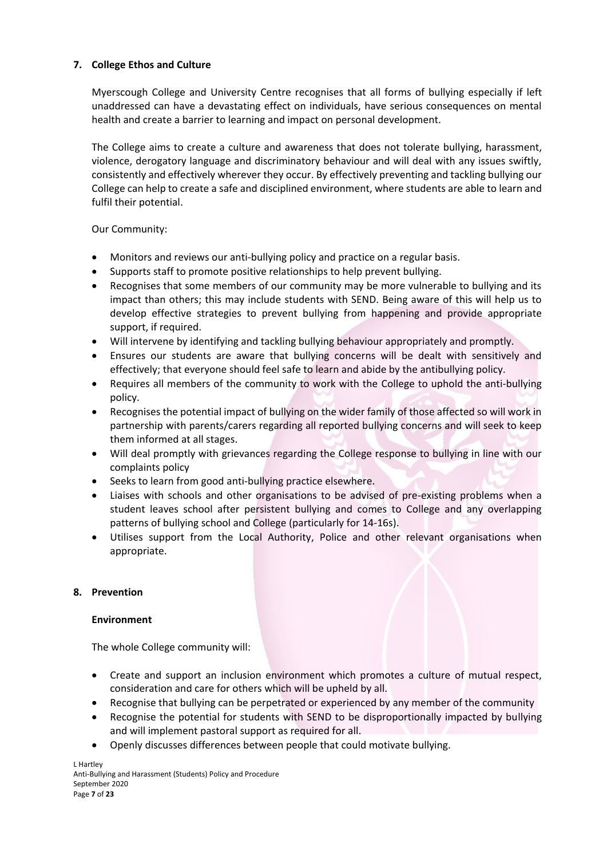#### **7. College Ethos and Culture**

Myerscough College and University Centre recognises that all forms of bullying especially if left unaddressed can have a devastating effect on individuals, have serious consequences on mental health and create a barrier to learning and impact on personal development.

The College aims to create a culture and awareness that does not tolerate bullying, harassment, violence, derogatory language and discriminatory behaviour and will deal with any issues swiftly, consistently and effectively wherever they occur. By effectively preventing and tackling bullying our College can help to create a safe and disciplined environment, where students are able to learn and fulfil their potential.

Our Community:

- Monitors and reviews our anti-bullying policy and practice on a regular basis.
- Supports staff to promote positive relationships to help prevent bullying.
- Recognises that some members of our community may be more vulnerable to bullying and its impact than others; this may include students with SEND. Being aware of this will help us to develop effective strategies to prevent bullying from happening and provide appropriate support, if required.
- Will intervene by identifying and tackling bullying behaviour appropriately and promptly.
- Ensures our students are aware that bullying concerns will be dealt with sensitively and effectively; that everyone should feel safe to learn and abide by the antibullying policy.
- Requires all members of the community to work with the College to uphold the anti-bullying policy.
- Recognises the potential impact of bullying on the wider family of those affected so will work in partnership with parents/carers regarding all reported bullying concerns and will seek to keep them informed at all stages.
- Will deal promptly with grievances regarding the College response to bullying in line with our complaints policy
- Seeks to learn from good anti-bullying practice elsewhere.
- Liaises with schools and other organisations to be advised of pre-existing problems when a student leaves school after persistent bullying and comes to College and any overlapping patterns of bullying school and College (particularly for 14-16s).
- Utilises support from the Local Authority, Police and other relevant organisations when appropriate.

#### **8. Prevention**

#### **Environment**

The whole College community will:

- Create and support an inclusion environment which promotes a culture of mutual respect, consideration and care for others which will be upheld by all.
- Recognise that bullying can be perpetrated or experienced by any member of the community
- Recognise the potential for students with SEND to be disproportionally impacted by bullying and will implement pastoral support as required for all.
- Openly discusses differences between people that could motivate bullying.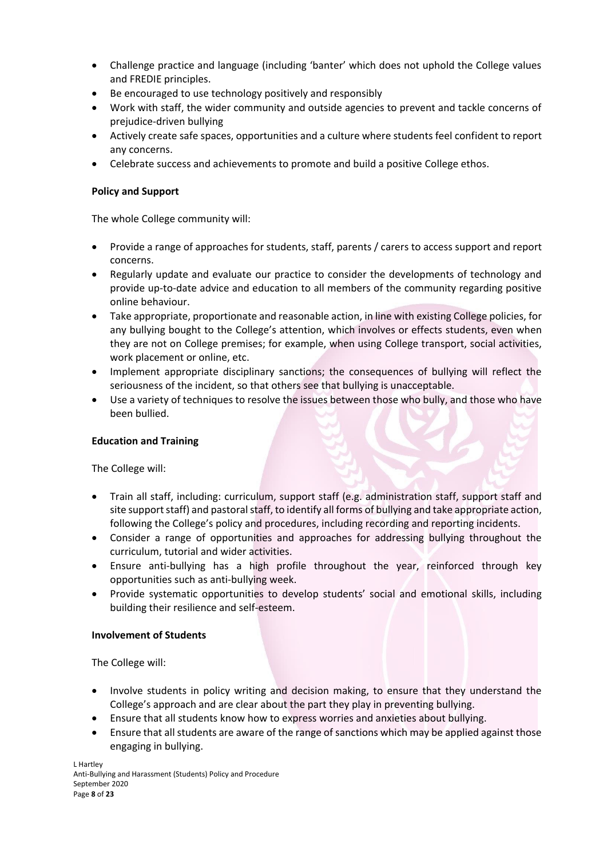- Challenge practice and language (including 'banter' which does not uphold the College values and FREDIE principles.
- Be encouraged to use technology positively and responsibly
- Work with staff, the wider community and outside agencies to prevent and tackle concerns of prejudice-driven bullying
- Actively create safe spaces, opportunities and a culture where students feel confident to report any concerns.
- Celebrate success and achievements to promote and build a positive College ethos.

#### **Policy and Support**

The whole College community will:

- Provide a range of approaches for students, staff, parents / carers to access support and report concerns.
- Regularly update and evaluate our practice to consider the developments of technology and provide up-to-date advice and education to all members of the community regarding positive online behaviour.
- Take appropriate, proportionate and reasonable action, in line with existing College policies, for any bullying bought to the College's attention, which involves or effects students, even when they are not on College premises; for example, when using College transport, social activities, work placement or online, etc.
- Implement appropriate disciplinary sanctions; the consequences of bullying will reflect the seriousness of the incident, so that others see that bullying is unacceptable.
- Use a variety of techniques to resolve the issues between those who bully, and those who have been bullied.

#### **Education and Training**

The College will:

- Train all staff, including: curriculum, support staff (e.g. administration staff, support staff and site support staff) and pastoral staff, to identify all forms of bullying and take appropriate action, following the College's policy and procedures, including recording and reporting incidents.
- Consider a range of opportunities and approaches for addressing bullying throughout the curriculum, tutorial and wider activities.
- Ensure anti-bullying has a high profile throughout the year, reinforced through key opportunities such as anti-bullying week.
- Provide systematic opportunities to develop students' social and emotional skills, including building their resilience and self-esteem.

#### **Involvement of Students**

The College will:

- Involve students in policy writing and decision making, to ensure that they understand the College's approach and are clear about the part they play in preventing bullying.
- Ensure that all students know how to express worries and anxieties about bullying.
- Ensure that all students are aware of the range of sanctions which may be applied against those engaging in bullying.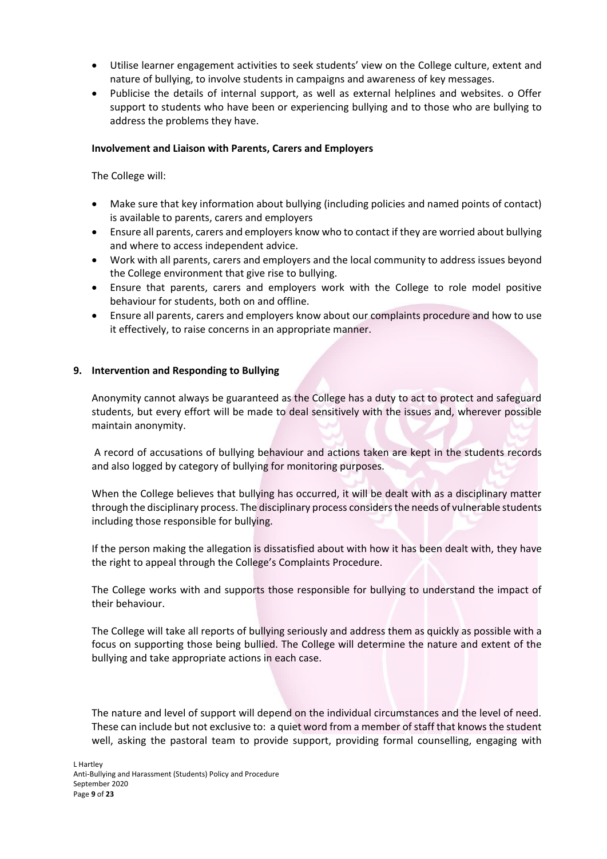- Utilise learner engagement activities to seek students' view on the College culture, extent and nature of bullying, to involve students in campaigns and awareness of key messages.
- Publicise the details of internal support, as well as external helplines and websites. o Offer support to students who have been or experiencing bullying and to those who are bullying to address the problems they have.

#### **Involvement and Liaison with Parents, Carers and Employers**

The College will:

- Make sure that key information about bullying (including policies and named points of contact) is available to parents, carers and employers
- Ensure all parents, carers and employers know who to contact if they are worried about bullying and where to access independent advice.
- Work with all parents, carers and employers and the local community to address issues beyond the College environment that give rise to bullying.
- Ensure that parents, carers and employers work with the College to role model positive behaviour for students, both on and offline.
- Ensure all parents, carers and employers know about our complaints procedure and how to use it effectively, to raise concerns in an appropriate manner.

#### **9. Intervention and Responding to Bullying**

Anonymity cannot always be guaranteed as the College has a duty to act to protect and safeguard students, but every effort will be made to deal sensitively with the issues and, wherever possible maintain anonymity.

A record of accusations of bullying behaviour and actions taken are kept in the students records and also logged by category of bullying for monitoring purposes.

When the College believes that bullying has occurred, it will be dealt with as a disciplinary matter through the disciplinary process. The disciplinary process considers the needs of vulnerable students including those responsible for bullying.

If the person making the allegation is dissatisfied about with how it has been dealt with, they have the right to appeal through the College's Complaints Procedure.

The College works with and supports those responsible for bullying to understand the impact of their behaviour.

The College will take all reports of bullying seriously and address them as quickly as possible with a focus on supporting those being bullied. The College will determine the nature and extent of the bullying and take appropriate actions in each case.

The nature and level of support will depend on the individual circumstances and the level of need. These can include but not exclusive to: a quiet word from a member of staff that knows the student well, asking the pastoral team to provide support, providing formal counselling, engaging with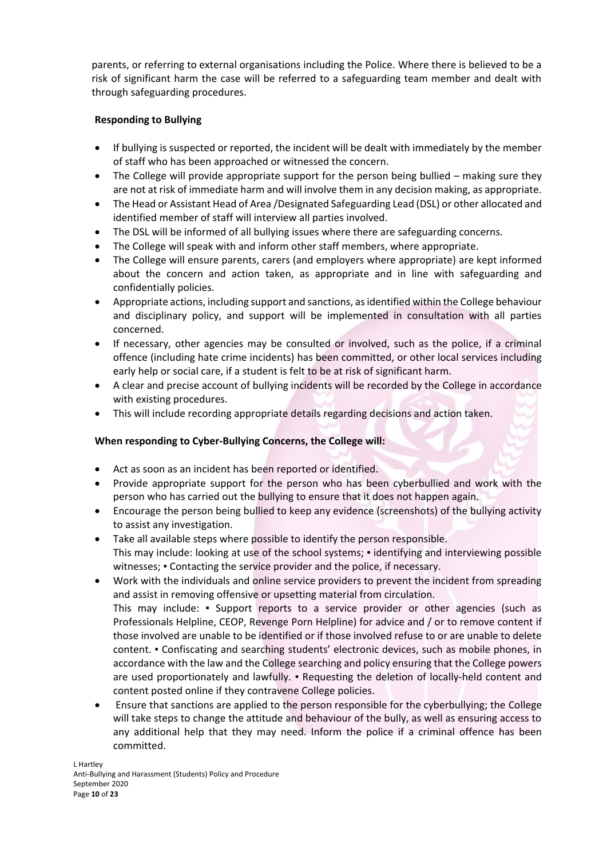parents, or referring to external organisations including the Police. Where there is believed to be a risk of significant harm the case will be referred to a safeguarding team member and dealt with through safeguarding procedures.

#### **Responding to Bullying**

- If bullying is suspected or reported, the incident will be dealt with immediately by the member of staff who has been approached or witnessed the concern.
- The College will provide appropriate support for the person being bullied making sure they are not at risk of immediate harm and will involve them in any decision making, as appropriate.
- The Head or Assistant Head of Area /Designated Safeguarding Lead (DSL) or other allocated and identified member of staff will interview all parties involved.
- The DSL will be informed of all bullying issues where there are safeguarding concerns.
- The College will speak with and inform other staff members, where appropriate.
- The College will ensure parents, carers (and employers where appropriate) are kept informed about the concern and action taken, as appropriate and in line with safeguarding and confidentially policies.
- Appropriate actions, including support and sanctions, as identified within the College behaviour and disciplinary policy, and support will be implemented in consultation with all parties concerned.
- If necessary, other agencies may be consulted or involved, such as the police, if a criminal offence (including hate crime incidents) has been committed, or other local services including early help or social care, if a student is felt to be at risk of significant harm.
- A clear and precise account of bullying incidents will be recorded by the College in accordance with existing procedures.
- This will include recording appropriate details regarding decisions and action taken.

#### **When responding to Cyber-Bullying Concerns, the College will:**

- Act as soon as an incident has been reported or identified.
- Provide appropriate support for the person who has been cyberbullied and work with the person who has carried out the bullying to ensure that it does not happen again.
- Encourage the person being bullied to keep any evidence (screenshots) of the bullying activity to assist any investigation.
- Take all available steps where possible to identify the person responsible. This may include: looking at use of the school systems; ▪ identifying and interviewing possible witnesses;  $\bullet$  Contacting the service provider and the police, if necessary.
- Work with the individuals and online service providers to prevent the incident from spreading and assist in removing offensive or upsetting material from circulation. This may include: ▪ Support reports to a service provider or other agencies (such as

Professionals Helpline, CEOP, Revenge Porn Helpline) for advice and / or to remove content if those involved are unable to be identified or if those involved refuse to or are unable to delete content. ▪ Confiscating and searching students' electronic devices, such as mobile phones, in accordance with the law and the College searching and policy ensuring that the College powers are used proportionately and lawfully. • Requesting the deletion of locally-held content and content posted online if they contravene College policies.

• Ensure that sanctions are applied to the person responsible for the cyberbullying; the College will take steps to change the attitude and behaviour of the bully, as well as ensuring access to any additional help that they may need. Inform the police if a criminal offence has been committed.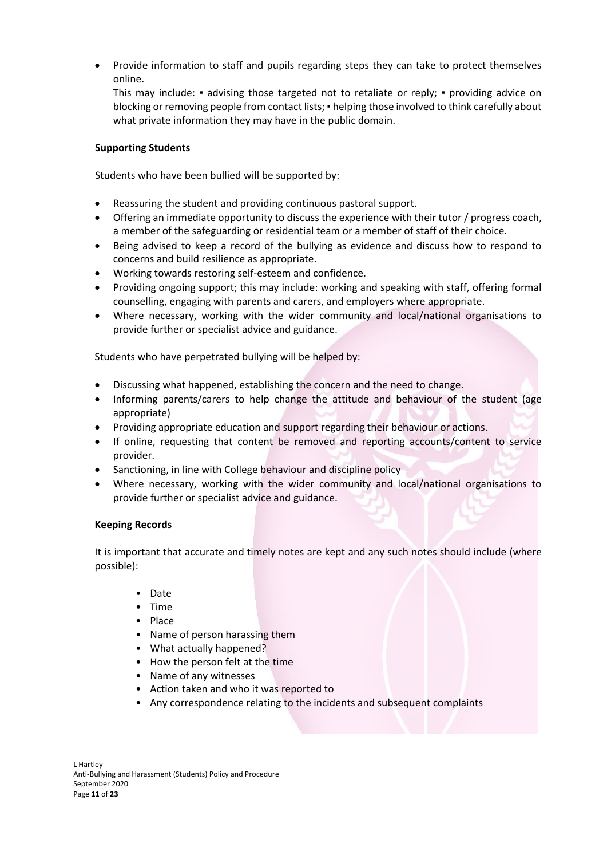• Provide information to staff and pupils regarding steps they can take to protect themselves online.

This may include: • advising those targeted not to retaliate or reply; • providing advice on blocking or removing people from contact lists; • helping those involved to think carefully about what private information they may have in the public domain.

#### **Supporting Students**

Students who have been bullied will be supported by:

- Reassuring the student and providing continuous pastoral support.
- Offering an immediate opportunity to discuss the experience with their tutor / progress coach, a member of the safeguarding or residential team or a member of staff of their choice.
- Being advised to keep a record of the bullying as evidence and discuss how to respond to concerns and build resilience as appropriate.
- Working towards restoring self-esteem and confidence.
- Providing ongoing support; this may include: working and speaking with staff, offering formal counselling, engaging with parents and carers, and employers where appropriate.
- Where necessary, working with the wider community and local/national organisations to provide further or specialist advice and guidance.

Students who have perpetrated bullying will be helped by:

- Discussing what happened, establishing the concern and the need to change.
- Informing parents/carers to help change the attitude and behaviour of the student (age appropriate)
- Providing appropriate education and support regarding their behaviour or actions.
- If online, requesting that content be removed and reporting accounts/content to service provider.
- Sanctioning, in line with College behaviour and discipline policy
- Where necessary, working with the wider community and local/national organisations to provide further or specialist advice and guidance.

#### **Keeping Records**

It is important that accurate and timely notes are kept and any such notes should include (where possible):

- Date
- Time
- Place
- Name of person harassing them
- What actually happened?
- How the person felt at the time
- Name of any witnesses
- Action taken and who it was reported to
- Any correspondence relating to the incidents and subsequent complaints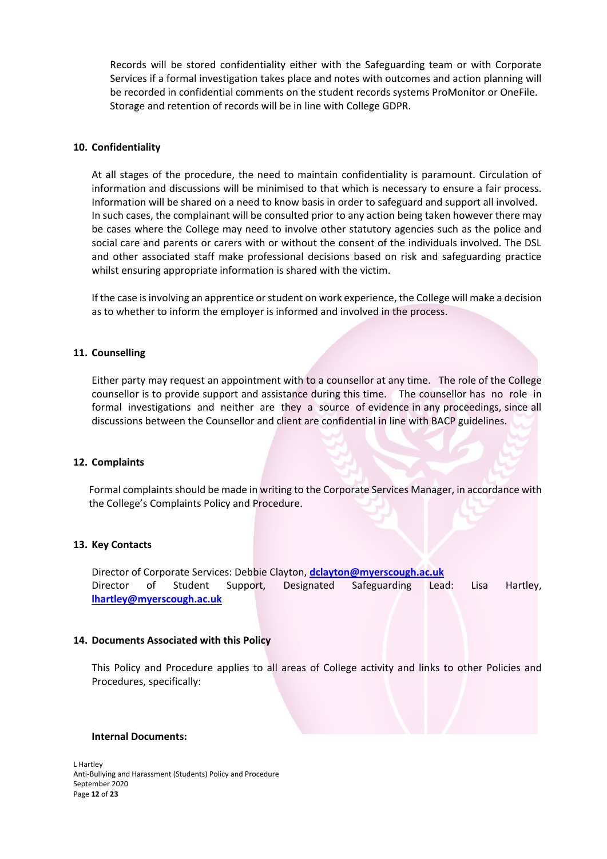Records will be stored confidentiality either with the Safeguarding team or with Corporate Services if a formal investigation takes place and notes with outcomes and action planning will be recorded in confidential comments on the student records systems ProMonitor or OneFile. Storage and retention of records will be in line with College GDPR.

#### **10. Confidentiality**

At all stages of the procedure, the need to maintain confidentiality is paramount. Circulation of information and discussions will be minimised to that which is necessary to ensure a fair process. Information will be shared on a need to know basis in order to safeguard and support all involved. In such cases, the complainant will be consulted prior to any action being taken however there may be cases where the College may need to involve other statutory agencies such as the police and social care and parents or carers with or without the consent of the individuals involved. The DSL and other associated staff make professional decisions based on risk and safeguarding practice whilst ensuring appropriate information is shared with the victim.

If the case is involving an apprentice or student on work experience, the College will make a decision as to whether to inform the employer is informed and involved in the process.

#### **11. Counselling**

Either party may request an appointment with to a counsellor at any time. The role of the College counsellor is to provide support and assistance during this time. The counsellor has no role in formal investigations and neither are they a source of evidence in any proceedings, since all discussions between the Counsellor and client are confidential in line with BACP guidelines.

#### **12. Complaints**

Formal complaints should be made in writing to the Corporate Services Manager, in accordance with the College's Complaints Policy and Procedure.

#### **13. Key Contacts**

Director of Corporate Services: Debbie Clayton, **[dclayton@myerscough.ac.uk](mailto:dclayton@myerscough.ac.uk)** Director of Student Support, Designated Safeguarding Lead: Lisa Hartley, **[lhartley@myerscough.ac.uk](mailto:lhartley@myerscough.ac.uk)**

#### **14. Documents Associated with this Policy**

This Policy and Procedure applies to all areas of College activity and links to other Policies and Procedures, specifically:

#### **Internal Documents:**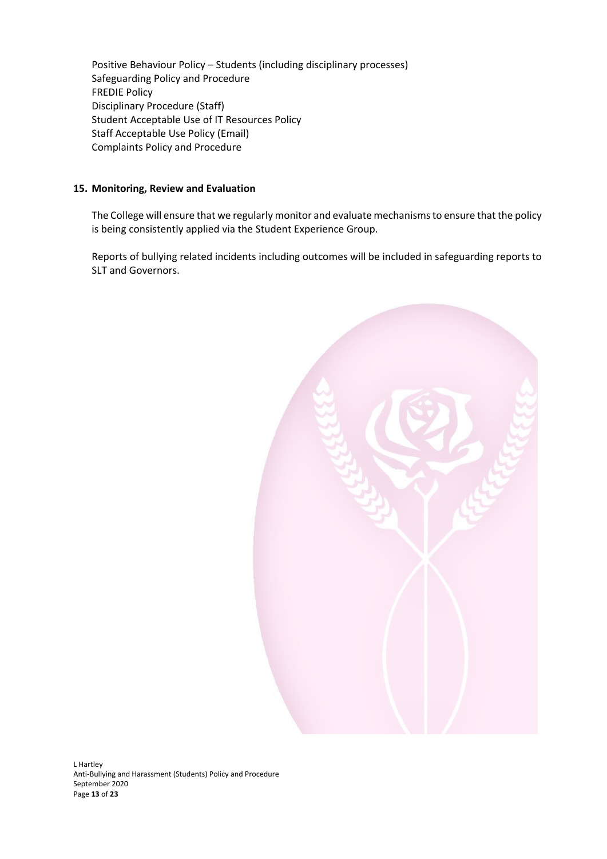Positive Behaviour Policy – Students (including disciplinary processes) Safeguarding Policy and Procedure FREDIE Policy Disciplinary Procedure (Staff) Student Acceptable Use of IT Resources Policy Staff Acceptable Use Policy (Email) Complaints Policy and Procedure

#### **15. Monitoring, Review and Evaluation**

The College will ensure that we regularly monitor and evaluate mechanisms to ensure that the policy is being consistently applied via the Student Experience Group.

Reports of bullying related incidents including outcomes will be included in safeguarding reports to SLT and Governors.

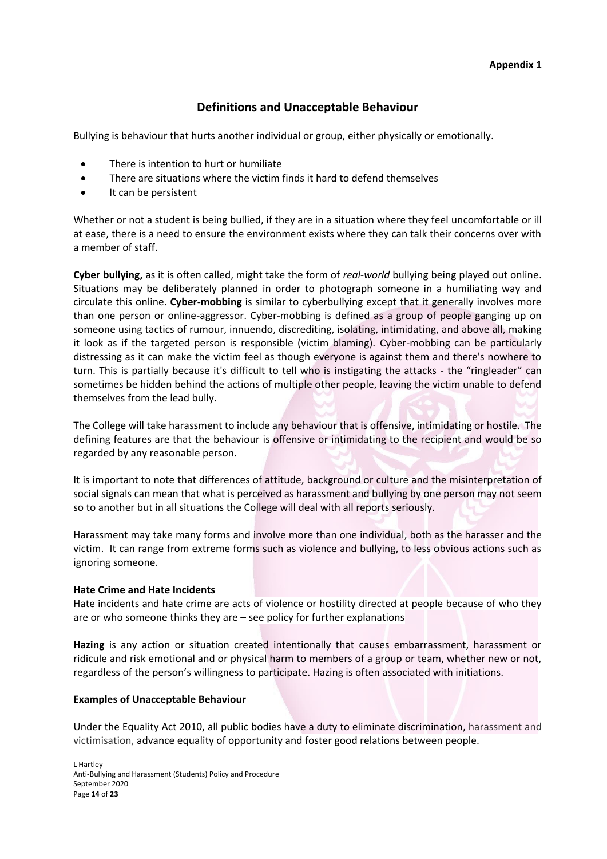# **Definitions and Unacceptable Behaviour**

Bullying is behaviour that hurts another individual or group, either physically or emotionally.

- There is intention to hurt or humiliate
- There are situations where the victim finds it hard to defend themselves
- It can be persistent

Whether or not a student is being bullied, if they are in a situation where they feel uncomfortable or ill at ease, there is a need to ensure the environment exists where they can talk their concerns over with a member of staff.

**Cyber bullying,** as it is often called, might take the form of *real-world* bullying being played out online. Situations may be deliberately planned in order to photograph someone in a humiliating way and circulate this online. **Cyber-mobbing** is similar to cyberbullying except that it generally involves more than one person or online-aggressor. Cyber-mobbing is defined as a group of people ganging up on someone using tactics of rumour, innuendo, discrediting, isolating, intimidating, and above all, making it look as if the targeted person is responsible (victim blaming). Cyber-mobbing can be particularly distressing as it can make the victim feel as though everyone is against them and there's nowhere to turn. This is partially because it's difficult to tell who is instigating the attacks - the "ringleader" can sometimes be hidden behind the actions of multiple other people, leaving the victim unable to defend themselves from the lead bully.

The College will take harassment to include any behaviour that is offensive, intimidating or hostile. The defining features are that the behaviour is offensive or intimidating to the recipient and would be so regarded by any reasonable person.

It is important to note that differences of attitude, background or culture and the misinterpretation of social signals can mean that what is perceived as harassment and bullying by one person may not seem so to another but in all situations the College will deal with all reports seriously.

Harassment may take many forms and involve more than one individual, both as the harasser and the victim. It can range from extreme forms such as violence and bullying, to less obvious actions such as ignoring someone.

#### **Hate Crime and Hate Incidents**

Hate incidents and hate crime are acts of violence or hostility directed at people because of who they are or who someone thinks they are – see policy for further explanations

**Hazing** is any action or situation created intentionally that causes embarrassment, harassment or ridicule and risk emotional and or physical harm to members of a group or team, whether new or not, regardless of the person's willingness to participate. Hazing is often associated with initiations.

#### **Examples of Unacceptable Behaviour**

Under the Equality Act 2010, all public bodies have a duty to eliminate discrimination, harassment and victimisation, advance equality of opportunity and foster good relations between people.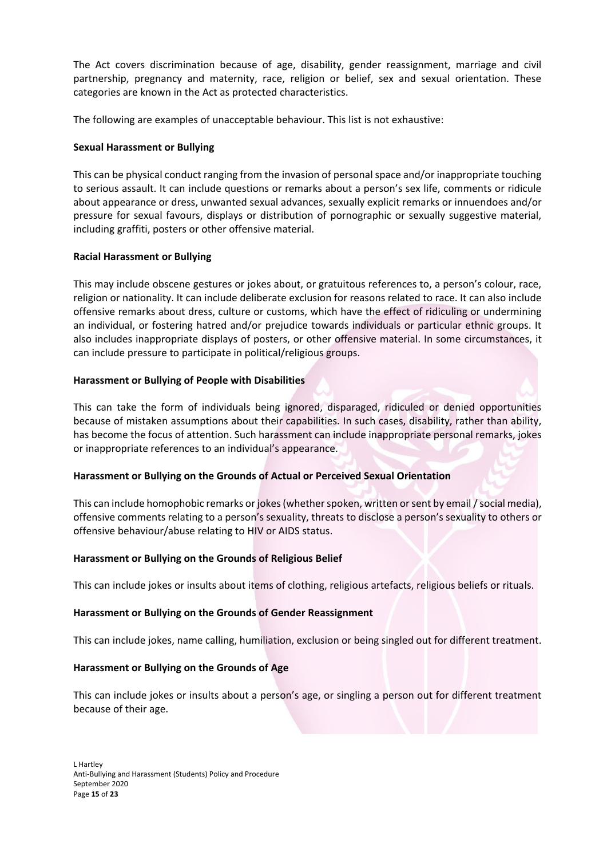The Act covers discrimination because of age, disability, gender reassignment, marriage and civil partnership, pregnancy and maternity, race, religion or belief, sex and sexual orientation. These categories are known in the Act as protected characteristics.

The following are examples of unacceptable behaviour. This list is not exhaustive:

#### **Sexual Harassment or Bullying**

This can be physical conduct ranging from the invasion of personal space and/or inappropriate touching to serious assault. It can include questions or remarks about a person's sex life, comments or ridicule about appearance or dress, unwanted sexual advances, sexually explicit remarks or innuendoes and/or pressure for sexual favours, displays or distribution of pornographic or sexually suggestive material, including graffiti, posters or other offensive material.

#### **Racial Harassment or Bullying**

This may include obscene gestures or jokes about, or gratuitous references to, a person's colour, race, religion or nationality. It can include deliberate exclusion for reasons related to race. It can also include offensive remarks about dress, culture or customs, which have the effect of ridiculing or undermining an individual, or fostering hatred and/or prejudice towards individuals or particular ethnic groups. It also includes inappropriate displays of posters, or other offensive material. In some circumstances, it can include pressure to participate in political/religious groups.

#### **Harassment or Bullying of People with Disabilities**

This can take the form of individuals being ignored, disparaged, ridiculed or denied opportunities because of mistaken assumptions about their capabilities. In such cases, disability, rather than ability, has become the focus of attention. Such harassment can include inappropriate personal remarks, jokes or inappropriate references to an individual's appearance.

#### **Harassment or Bullying on the Grounds of Actual or Perceived Sexual Orientation**

This can include homophobic remarks or jokes (whether spoken, written or sent by email / social media), offensive comments relating to a person's sexuality, threats to disclose a person's sexuality to others or offensive behaviour/abuse relating to HIV or AIDS status.

#### **Harassment or Bullying on the Grounds of Religious Belief**

This can include jokes or insults about items of clothing, religious artefacts, religious beliefs or rituals.

#### **Harassment or Bullying on the Grounds of Gender Reassignment**

This can include jokes, name calling, humiliation, exclusion or being singled out for different treatment.

#### **Harassment or Bullying on the Grounds of Age**

This can include jokes or insults about a person's age, or singling a person out for different treatment because of their age.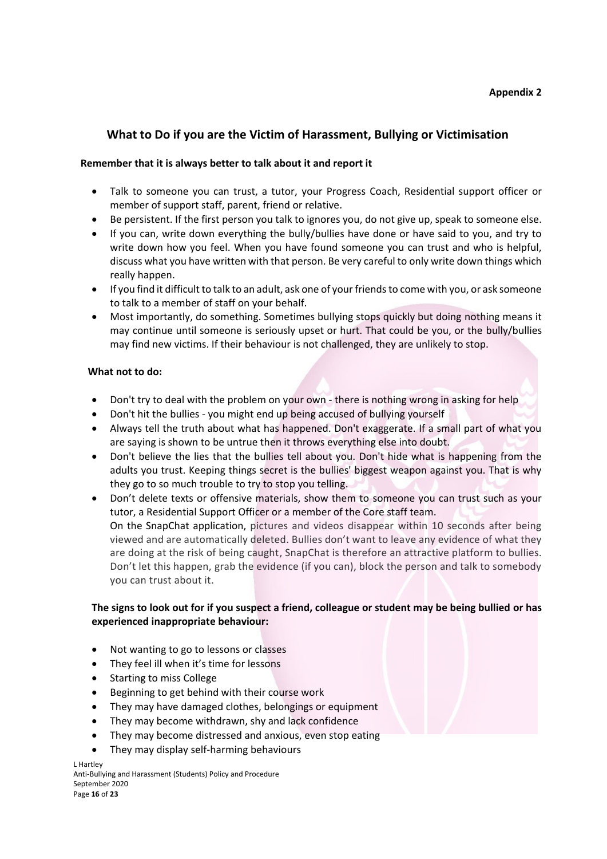# **What to Do if you are the Victim of Harassment, Bullying or Victimisation**

#### **Remember that it is always better to talk about it and report it**

- Talk to someone you can trust, a tutor, your Progress Coach, Residential support officer or member of support staff, parent, friend or relative.
- Be persistent. If the first person you talk to ignores you, do not give up, speak to someone else.
- If you can, write down everything the bully/bullies have done or have said to you, and try to write down how you feel. When you have found someone you can trust and who is helpful, discuss what you have written with that person. Be very careful to only write down things which really happen.
- If you find it difficult to talk to an adult, ask one of your friends to come with you, or ask someone to talk to a member of staff on your behalf.
- Most importantly, do something. Sometimes bullying stops quickly but doing nothing means it may continue until someone is seriously upset or hurt. That could be you, or the bully/bullies may find new victims. If their behaviour is not challenged, they are unlikely to stop.

#### **What not to do:**

- Don't try to deal with the problem on your own there is nothing wrong in asking for help
- Don't hit the bullies you might end up being accused of bullying yourself
- Always tell the truth about what has happened. Don't exaggerate. If a small part of what you are saying is shown to be untrue then it throws everything else into doubt.
- Don't believe the lies that the bullies tell about you. Don't hide what is happening from the adults you trust. Keeping things secret is the bullies' biggest weapon against you. That is why they go to so much trouble to try to stop you telling.
- Don't delete texts or offensive materials, show them to someone you can trust such as your tutor, a Residential Support Officer or a member of the Core staff team. On the SnapChat application, pictures and videos disappear within 10 seconds after being viewed and are automatically deleted. Bullies don't want to leave any evidence of what they are doing at the risk of being caught, SnapChat is therefore an attractive platform to bullies. Don't let this happen, grab the evidence (if you can), block the person and talk to somebody you can trust about it.

#### **The signs to look out for if you suspect a friend, colleague or student may be being bullied or has experienced inappropriate behaviour:**

- Not wanting to go to lessons or classes
- They feel ill when it's time for lessons
- Starting to miss College
- Beginning to get behind with their course work
- They may have damaged clothes, belongings or equipment
- They may become withdrawn, shy and lack confidence
- They may become distressed and anxious, even stop eating
- They may display self-harming behaviours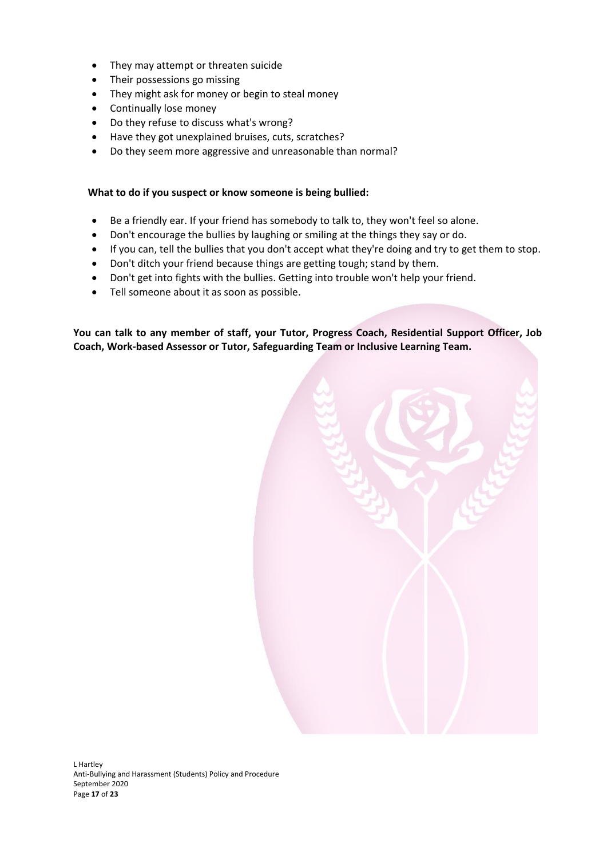- They may attempt or threaten suicide
- Their possessions go missing
- They might ask for money or begin to steal money
- Continually lose money
- Do they refuse to discuss what's wrong?
- Have they got unexplained bruises, cuts, scratches?
- Do they seem more aggressive and unreasonable than normal?

#### **What to do if you suspect or know someone is being bullied:**

- Be a friendly ear. If your friend has somebody to talk to, they won't feel so alone.
- Don't encourage the bullies by laughing or smiling at the things they say or do.
- If you can, tell the bullies that you don't accept what they're doing and try to get them to stop.
- Don't ditch your friend because things are getting tough; stand by them.
- Don't get into fights with the bullies. Getting into trouble won't help your friend.
- Tell someone about it as soon as possible.

**You can talk to any member of staff, your Tutor, Progress Coach, Residential Support Officer, Job Coach, Work-based Assessor or Tutor, Safeguarding Team or Inclusive Learning Team.** 

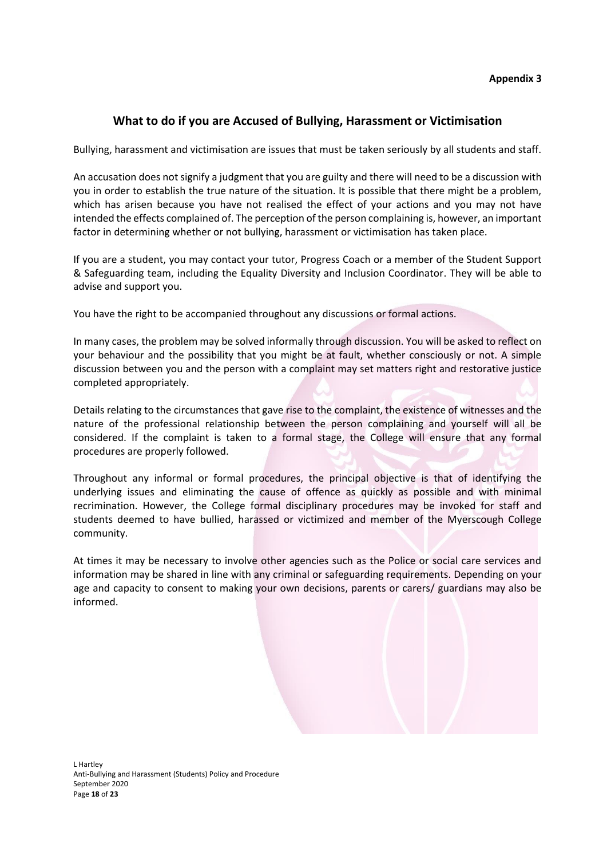#### **Appendix 3**

### **What to do if you are Accused of Bullying, Harassment or Victimisation**

Bullying, harassment and victimisation are issues that must be taken seriously by all students and staff.

An accusation does not signify a judgment that you are guilty and there will need to be a discussion with you in order to establish the true nature of the situation. It is possible that there might be a problem, which has arisen because you have not realised the effect of your actions and you may not have intended the effects complained of. The perception of the person complaining is, however, an important factor in determining whether or not bullying, harassment or victimisation has taken place.

If you are a student, you may contact your tutor, Progress Coach or a member of the Student Support & Safeguarding team, including the Equality Diversity and Inclusion Coordinator. They will be able to advise and support you.

You have the right to be accompanied throughout any discussions or formal actions.

In many cases, the problem may be solved informally through discussion. You will be asked to reflect on your behaviour and the possibility that you might be at fault, whether consciously or not. A simple discussion between you and the person with a complaint may set matters right and restorative justice completed appropriately.

Details relating to the circumstances that gave rise to the complaint, the existence of witnesses and the nature of the professional relationship between the person complaining and yourself will all be considered. If the complaint is taken to a formal stage, the College will ensure that any formal procedures are properly followed.

Throughout any informal or formal procedures, the principal objective is that of identifying the underlying issues and eliminating the cause of offence as quickly as possible and with minimal recrimination. However, the College formal disciplinary procedures may be invoked for staff and students deemed to have bullied, harassed or victimized and member of the Myerscough College community.

At times it may be necessary to involve other agencies such as the Police or social care services and information may be shared in line with any criminal or safeguarding requirements. Depending on your age and capacity to consent to making your own decisions, parents or carers/ guardians may also be informed.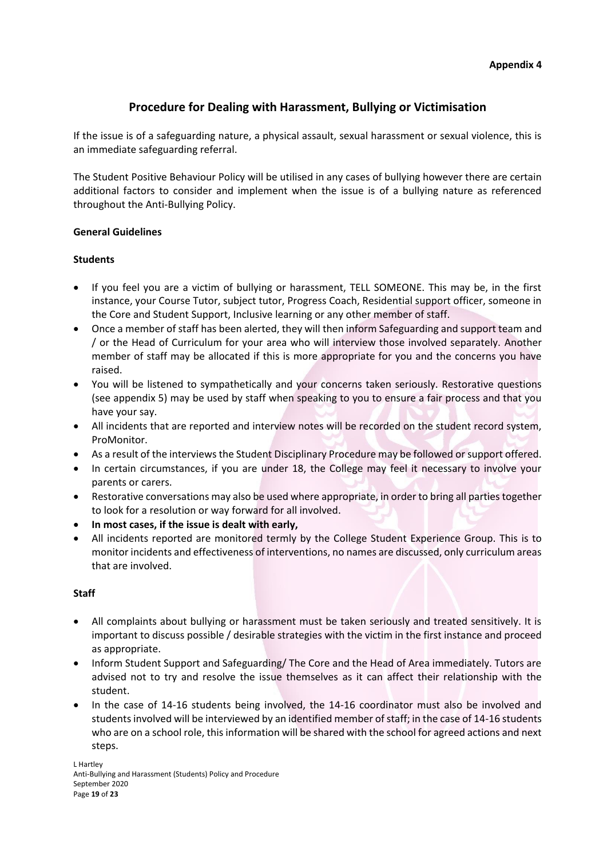# **Procedure for Dealing with Harassment, Bullying or Victimisation**

If the issue is of a safeguarding nature, a physical assault, sexual harassment or sexual violence, this is an immediate safeguarding referral.

The Student Positive Behaviour Policy will be utilised in any cases of bullying however there are certain additional factors to consider and implement when the issue is of a bullying nature as referenced throughout the Anti-Bullying Policy.

#### **General Guidelines**

#### **Students**

- If you feel you are a victim of bullying or harassment, TELL SOMEONE. This may be, in the first instance, your Course Tutor, subject tutor, Progress Coach, Residential support officer, someone in the Core and Student Support, Inclusive learning or any other member of staff.
- Once a member of staff has been alerted, they will then inform Safeguarding and support team and / or the Head of Curriculum for your area who will interview those involved separately. Another member of staff may be allocated if this is more appropriate for you and the concerns you have raised.
- You will be listened to sympathetically and your concerns taken seriously. Restorative questions (see appendix 5) may be used by staff when speaking to you to ensure a fair process and that you have your say.
- All incidents that are reported and interview notes will be recorded on the student record system, ProMonitor.
- As a result of the interviews the Student Disciplinary Procedure may be followed or support offered.
- In certain circumstances, if you are under 18, the College may feel it necessary to involve your parents or carers.
- Restorative conversations may also be used where appropriate, in order to bring all parties together to look for a resolution or way forward for all involved.
- **In most cases, if the issue is dealt with early,**
- All incidents reported are monitored termly by the College Student Experience Group. This is to monitor incidents and effectiveness of interventions, no names are discussed, only curriculum areas that are involved.

#### **Staff**

- All complaints about bullying or harassment must be taken seriously and treated sensitively. It is important to discuss possible / desirable strategies with the victim in the first instance and proceed as appropriate.
- Inform Student Support and Safeguarding/ The Core and the Head of Area immediately. Tutors are advised not to try and resolve the issue themselves as it can affect their relationship with the student.
- In the case of 14-16 students being involved, the 14-16 coordinator must also be involved and students involved will be interviewed by an identified member of staff; in the case of 14-16 students who are on a school role, this information will be shared with the school for agreed actions and next steps.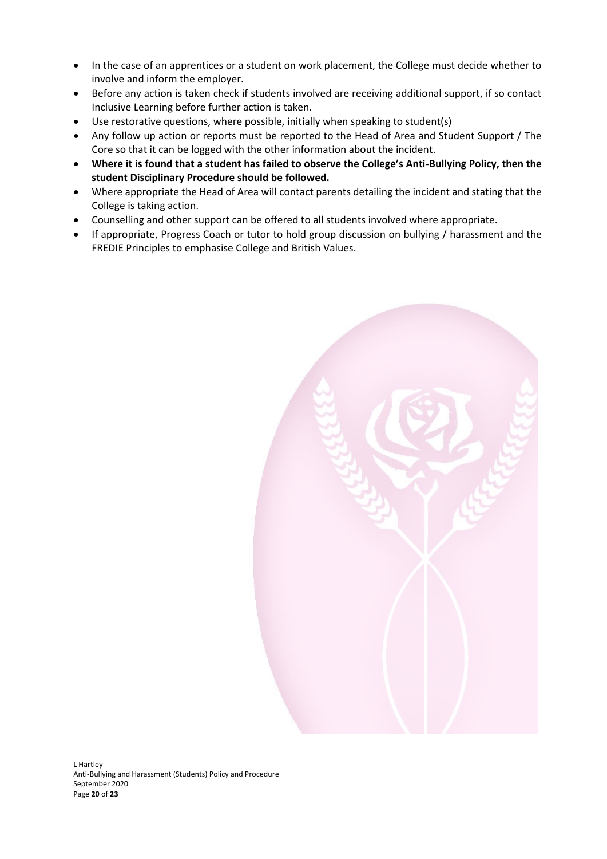- In the case of an apprentices or a student on work placement, the College must decide whether to involve and inform the employer.
- Before any action is taken check if students involved are receiving additional support, if so contact Inclusive Learning before further action is taken.
- Use restorative questions, where possible, initially when speaking to student(s)
- Any follow up action or reports must be reported to the Head of Area and Student Support / The Core so that it can be logged with the other information about the incident.
- **Where it is found that a student has failed to observe the College's Anti-Bullying Policy, then the student Disciplinary Procedure should be followed.**
- Where appropriate the Head of Area will contact parents detailing the incident and stating that the College is taking action.
- Counselling and other support can be offered to all students involved where appropriate.
- If appropriate, Progress Coach or tutor to hold group discussion on bullying / harassment and the FREDIE Principles to emphasise College and British Values.

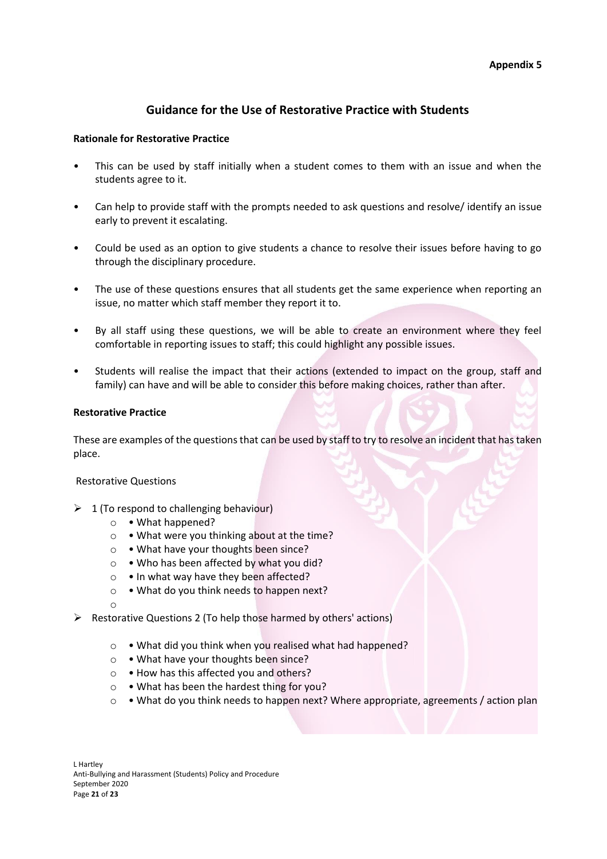## **Guidance for the Use of Restorative Practice with Students**

#### **Rationale for Restorative Practice**

- This can be used by staff initially when a student comes to them with an issue and when the students agree to it.
- Can help to provide staff with the prompts needed to ask questions and resolve/ identify an issue early to prevent it escalating.
- Could be used as an option to give students a chance to resolve their issues before having to go through the disciplinary procedure.
- The use of these questions ensures that all students get the same experience when reporting an issue, no matter which staff member they report it to.
- By all staff using these questions, we will be able to create an environment where they feel comfortable in reporting issues to staff; this could highlight any possible issues.
- Students will realise the impact that their actions (extended to impact on the group, staff and family) can have and will be able to consider this before making choices, rather than after.

#### **Restorative Practice**

These are examples of the questions that can be used by staff to try to resolve an incident that has taken place.

#### Restorative Questions

- $\geq 1$  (To respond to challenging behaviour)
	- o What happened?
	- o What were you thinking about at the time?
	- o What have your thoughts been since?
	- o Who has been affected by what you did?
	- $\circ \cdot$  In what way have they been affected?
	- o What do you think needs to happen next?
	- o
- $\triangleright$  Restorative Questions 2 (To help those harmed by others' actions)
	- o What did you think when you realised what had happened?
	- o What have your thoughts been since?
	- o How has this affected you and others?
	- o What has been the hardest thing for you?
	- o What do you think needs to happen next? Where appropriate, agreements / action plan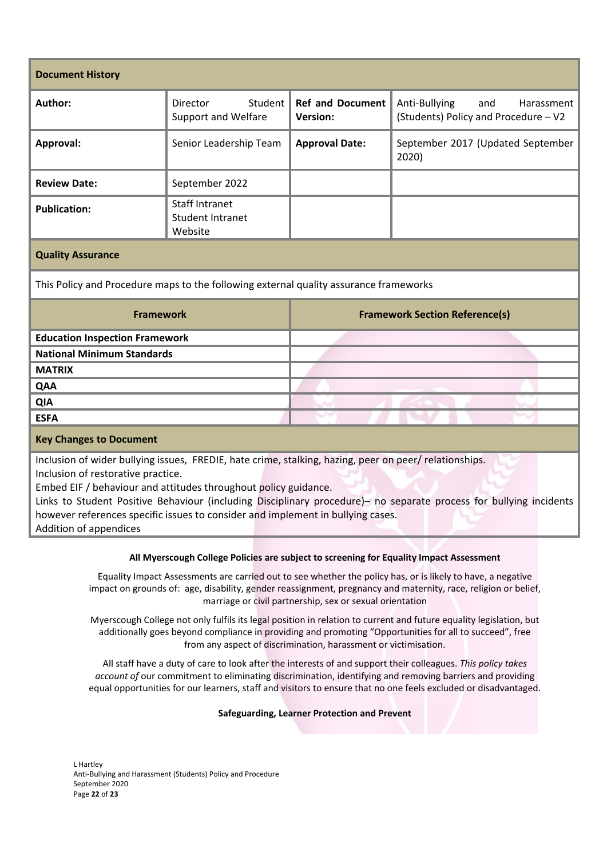| <b>Document History</b>                                                                                                                                                                                                                                                                                                                                                                                                                            |                                                             |                                            |                                                                            |  |  |  |
|----------------------------------------------------------------------------------------------------------------------------------------------------------------------------------------------------------------------------------------------------------------------------------------------------------------------------------------------------------------------------------------------------------------------------------------------------|-------------------------------------------------------------|--------------------------------------------|----------------------------------------------------------------------------|--|--|--|
| Author:                                                                                                                                                                                                                                                                                                                                                                                                                                            | Student<br>Director<br><b>Support and Welfare</b>           | <b>Ref and Document</b><br><b>Version:</b> | Anti-Bullying<br>and<br>Harassment<br>(Students) Policy and Procedure - V2 |  |  |  |
| Approval:                                                                                                                                                                                                                                                                                                                                                                                                                                          | Senior Leadership Team                                      | <b>Approval Date:</b>                      | September 2017 (Updated September<br>2020)                                 |  |  |  |
| <b>Review Date:</b>                                                                                                                                                                                                                                                                                                                                                                                                                                | September 2022                                              |                                            |                                                                            |  |  |  |
| <b>Publication:</b>                                                                                                                                                                                                                                                                                                                                                                                                                                | <b>Staff Intranet</b><br><b>Student Intranet</b><br>Website |                                            |                                                                            |  |  |  |
| <b>Quality Assurance</b>                                                                                                                                                                                                                                                                                                                                                                                                                           |                                                             |                                            |                                                                            |  |  |  |
| This Policy and Procedure maps to the following external quality assurance frameworks                                                                                                                                                                                                                                                                                                                                                              |                                                             |                                            |                                                                            |  |  |  |
| <b>Framework</b>                                                                                                                                                                                                                                                                                                                                                                                                                                   |                                                             | <b>Framework Section Reference(s)</b>      |                                                                            |  |  |  |
| <b>Education Inspection Framework</b>                                                                                                                                                                                                                                                                                                                                                                                                              |                                                             |                                            |                                                                            |  |  |  |
| <b>National Minimum Standards</b>                                                                                                                                                                                                                                                                                                                                                                                                                  |                                                             |                                            |                                                                            |  |  |  |
| <b>MATRIX</b>                                                                                                                                                                                                                                                                                                                                                                                                                                      |                                                             |                                            |                                                                            |  |  |  |
| QAA                                                                                                                                                                                                                                                                                                                                                                                                                                                |                                                             |                                            |                                                                            |  |  |  |
| <b>QIA</b>                                                                                                                                                                                                                                                                                                                                                                                                                                         |                                                             |                                            |                                                                            |  |  |  |
| <b>ESFA</b>                                                                                                                                                                                                                                                                                                                                                                                                                                        |                                                             |                                            |                                                                            |  |  |  |
| <b>Key Changes to Document</b>                                                                                                                                                                                                                                                                                                                                                                                                                     |                                                             |                                            |                                                                            |  |  |  |
| Inclusion of wider bullying issues, FREDIE, hate crime, stalking, hazing, peer on peer/ relationships.<br>Inclusion of restorative practice.<br>Embed EIF / behaviour and attitudes throughout policy guidance.<br>Links to Student Positive Behaviour (including Disciplinary procedure)- no separate process for bullying incidents<br>however references specific issues to consider and implement in bullying cases.<br>Addition of appendices |                                                             |                                            |                                                                            |  |  |  |

#### **All Myerscough College Policies are subject to screening for Equality Impact Assessment**

Equality Impact Assessments are carried out to see whether the policy has, or is likely to have, a negative impact on grounds of: age, disability, gender reassignment, pregnancy and maternity, race, religion or belief, marriage or civil partnership, sex or sexual orientation

Myerscough College not only fulfils its legal position in relation to current and future equality legislation, but additionally goes beyond compliance in providing and promoting "Opportunities for all to succeed", free from any aspect of discrimination, harassment or victimisation.

All staff have a duty of care to look after the interests of and support their colleagues. *This policy takes account of* our commitment to eliminating discrimination, identifying and removing barriers and providing equal opportunities for our learners, staff and visitors to ensure that no one feels excluded or disadvantaged.

#### **Safeguarding, Learner Protection and Prevent**